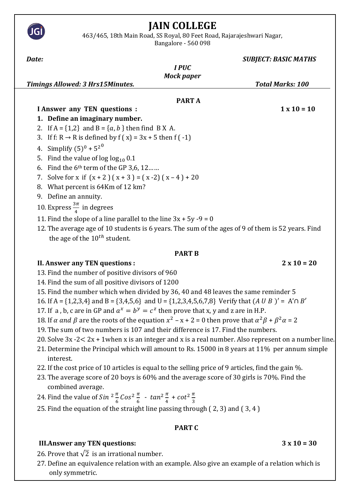# **JAIN COLLEGE**

463/465, 18th Main Road, SS Royal, 80 Feet Road, Rajarajeshwari Nagar,

Bangalore - 560 098

| Date:                                                                                             | <b>SUBJECT: BASIC MATHS</b> |
|---------------------------------------------------------------------------------------------------|-----------------------------|
| <b>IPUC</b>                                                                                       |                             |
| <b>Mock paper</b>                                                                                 |                             |
| <b>Timings Allowed: 3 Hrs15Minutes.</b>                                                           | <b>Total Marks: 100</b>     |
| <b>PART A</b>                                                                                     |                             |
| <b>I Answer any TEN questions :</b>                                                               | $1 \times 10 = 10$          |
| 1. Define an imaginary number.                                                                    |                             |
| 2. If $A = \{1,2\}$ and $B = \{a, b\}$ then find B X A.                                           |                             |
| If f: R $\rightarrow$ R is defined by f (x) = 3x + 5 then f (-1)<br>3.                            |                             |
| Simplify $(5)^0 + 5^{2^0}$<br>4.                                                                  |                             |
| Find the value of $log log_{10} 0.1$<br>5.                                                        |                             |
| Find the $6th$ term of the GP 3,6, 12<br>6.                                                       |                             |
| Solve for x if $(x + 2)(x + 3) = (x - 2)(x - 4) + 20$<br>7.                                       |                             |
| What percent is 64Km of 12 km?<br>8.                                                              |                             |
| Define an annuity.<br>9.                                                                          |                             |
| 10. Express $\frac{3\pi}{4}$ in degrees                                                           |                             |
| 11. Find the slope of a line parallel to the line $3x + 5y - 9 = 0$                               |                             |
| 12. The average age of 10 students is 6 years. The sum of the ages of 9 of them is 52 years. Find |                             |
| the age of the $10^{th}$ student.                                                                 |                             |
| <b>PART B</b>                                                                                     |                             |
| <b>II. Answer any TEN questions :</b>                                                             | $2 \times 10 = 20$          |
| 13. Find the number of positive divisors of 960                                                   |                             |
| 14. Find the sum of all positive divisors of 1200                                                 |                             |

15. Find the number which when divided by 36, 40 and 48 leaves the same reminder 5

16. If A = {1,2,3,4} and B = {3,4,5,6} and U = {1,2,3,4,5,6,7,8} Verify that  $(A \cup B)' = A' \cap B'$ 

17. If a, b, c are in GP and  $a^x = b^y = c^z$  then prove that x, y and z are in H.P.

18. If  $\alpha$  and  $\beta$  are the roots of the equation  $x^2 - x + 2 = 0$  then prove that  $\alpha^2 \beta + \beta^2 \alpha = 2$ 

19. The sum of two numbers is 107 and their difference is 17. Find the numbers.

- 20. Solve 3x -2< 2x + 1when x is an integer and x is a real number. Also represent on a number line.
- 21. Determine the Principal which will amount to Rs. 15000 in 8 years at 11% per annum simple interest.
- 22. If the cost price of 10 articles is equal to the selling price of 9 articles, find the gain %.
- 23. The average score of 20 boys is 60% and the average score of 30 girls is 70%. Find the combined average.
- 24. Find the value of  $Sin^{2}\frac{\pi}{6}Cos^{2}\frac{\pi}{6} tan^{2}\frac{\pi}{4} + cot^{2}\frac{\pi}{3}$
- 25. Find the equation of the straight line passing through ( 2, 3) and ( 3, 4 )

# **PART C**

# **III.Answer any TEN questions:**  $3 \times 10 = 30$

26. Prove that  $\sqrt{2}$  is an irrational number.

27. Define an equivalence relation with an example. Also give an example of a relation which is only symmetric.

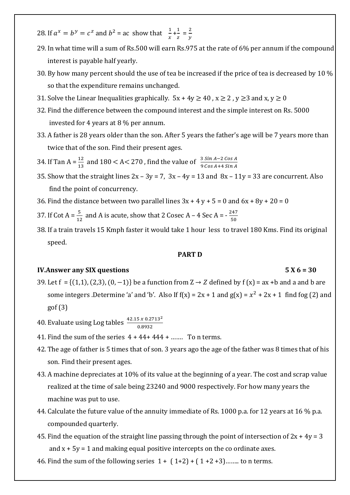- 28. If  $a^x = b^y = c^z$  and  $b^2 = ac$  show that  $\frac{1}{x} + \frac{1}{z}$  $\frac{1}{z} = \frac{2}{y}$  $\mathcal{Y}$
- 29. In what time will a sum of Rs.500 will earn Rs.975 at the rate of 6% per annum if the compound interest is payable half yearly.
- 30. By how many percent should the use of tea be increased if the price of tea is decreased by 10 % so that the expenditure remains unchanged.
- 31. Solve the Linear Inequalities graphically.  $5x + 4y \ge 40$ ,  $x \ge 2$ ,  $y \ge 3$  and  $x, y \ge 0$
- 32. Find the difference between the compound interest and the simple interest on Rs. 5000 invested for 4 years at 8 % per annum.
- 33. A father is 28 years older than the son. After 5 years the father's age will be 7 years more than twice that of the son. Find their present ages.
- 34. If Tan A =  $\frac{12}{13}$  and 180 < A < 270, find the value of  $\frac{3 \sin A 2 \cos A}{9 \cos A + 4 \sin A}$
- 35. Show that the straight lines  $2x 3y = 7$ ,  $3x 4y = 13$  and  $8x 11y = 33$  are concurrent. Also find the point of concurrency.
- 36. Find the distance between two parallel lines  $3x + 4y + 5 = 0$  and  $6x + 8y + 20 = 0$
- 37. If Cot A =  $\frac{5}{12}$  and A is acute, show that 2 Cosec A 4 Sec A =  $\frac{247}{50}$ 50
- 38. If a train travels 15 Kmph faster it would take 1 hour less to travel 180 Kms. Find its original speed.

#### **PART D**

### **IV.Answer any SIX questions 5 X 6 = 30**

- 39. Let f = {(1,1), (2,3), (0, -1)} be a function from  $Z \rightarrow Z$  defined by f (x) = ax +b and a and b are some integers .Determine 'a' and 'b'. Also If  $f(x) = 2x + 1$  and  $g(x) = x^2 + 2x + 1$  find fog (2) and gof (3)
- 40. Evaluate using Log tables  $\frac{42.15 \times 0.2713^2}{0.8932}$
- 41. Find the sum of the series  $4 + 44 + 444 + ...$  To n terms.
- 42. The age of father is 5 times that of son. 3 years ago the age of the father was 8 times that of his son. Find their present ages.
- 43. A machine depreciates at 10% of its value at the beginning of a year. The cost and scrap value realized at the time of sale being 23240 and 9000 respectively. For how many years the machine was put to use.
- 44. Calculate the future value of the annuity immediate of Rs. 1000 p.a. for 12 years at 16 % p.a. compounded quarterly.
- 45. Find the equation of the straight line passing through the point of intersection of  $2x + 4y = 3$ and  $x + 5y = 1$  and making equal positive intercepts on the co ordinate axes.
- 46. Find the sum of the following series  $1 + (1+2) + (1+2+3)$ ........ to n terms.